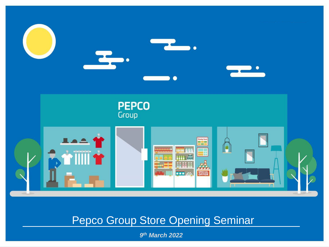

# Pepco Group Store Opening Seminar

*9 th March 2022*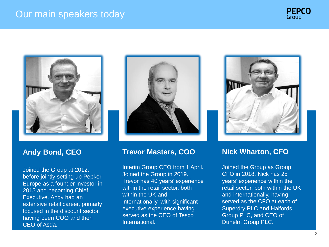



### **Andy Bond, CEO**

Joined the Group at 2012, before jointly setting up Pepkor Europe as a founder investor in 2015 and becoming Chief Executive. Andy had an extensive retail career, primarly focused in the discount sector, having been COO and then CEO of Asda.



### **Trevor Masters, COO**

Interim Group CEO from 1 April. Joined the Group in 2019. Trevor has 40 years' experience within the retail sector, both within the UK and internationally, with significant executive experience having served as the CEO of Tesco International.



### **Nick Wharton, CFO**

Joined the Group as Group CFO in 2018. Nick has 25 years' experience within the retail sector, both within the UK and internationally, having served as the CFO at each of Superdry PLC and Halfords Group PLC, and CEO of Dunelm Group PLC.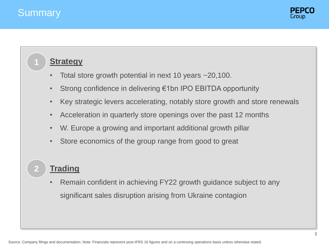**1**

**2**



### **Strategy**

- Total store growth potential in next 10 years ~20,100.
- Strong confidence in delivering €1bn IPO EBITDA opportunity
- Key strategic levers accelerating, notably store growth and store renewals
- Acceleration in quarterly store openings over the past 12 months
- W. Europe a growing and important additional growth pillar
- Store economics of the group range from good to great

# **Trading**

• Remain confident in achieving FY22 growth guidance subject to any significant sales disruption arising from Ukraine contagion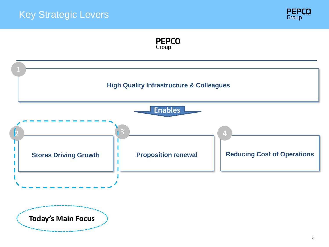## Key Strategic Levers





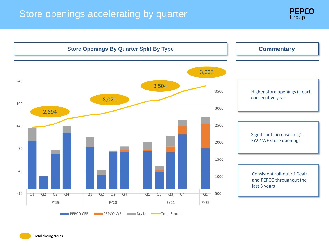## Store openings accelerating by quarter



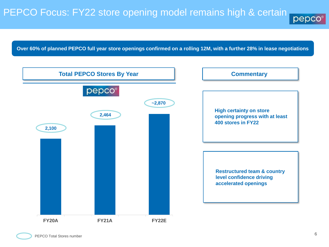# PEPCO Focus: FY22 store opening model remains high & certain

pepc

**Over 60% of planned PEPCO full year store openings confirmed on a rolling 12M, with a further 28% in lease negotiations**

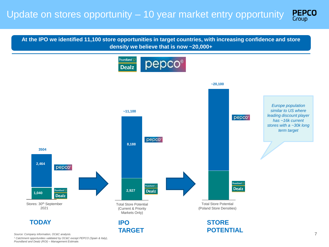**PEPCO** 

**At the IPO we identified 11,100 store opportunities in target countries, with increasing confidence and store density we believe that is now ~20,000+** 



*<sup>1</sup> Catchment opportunities validated by OC&C except PEPCO (Spain & Italy), Poundland and Dealz (ROI) – Management Estimate.*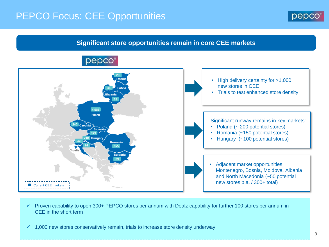# PEPCO Focus: CEE Opportunities



### **Significant store opportunities remain in core CEE markets**



 $\checkmark$  Proven capability to open 300+ PEPCO stores per annum with Dealz capability for further 100 stores per annum in CEE in the short term

 $\checkmark$  1,000 new stores conservatively remain, trials to increase store density underway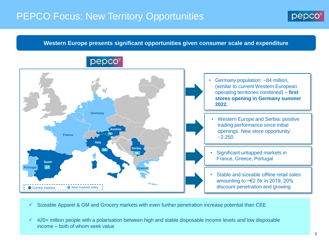# PEPCO Focus: New Territory Opportunities

pepco®



#### **Western Europe presents significant opportunities given consumer scale and expenditure**



• Germany population: ~84 million, (similar to current Western European operating territories combined) – **first stores opening in Germany summer** 

• Western Europe and Serbia: positive trading performance since initial openings. New store opportunity:

**COUP** Significant untapped markets in **expected France, Greece, Portugal** 

**COLLUCTER COLLUCTER IS 2010**<br>Collection is 2000 and in 2000 and is and in an analyzed in a set of the is a 0000 and it is a detailed by the state of the international states **expected to ~€2.5tr in 2019, 20%** • Stable and sizeable offline retail sales discount penetration and growing

 $\checkmark$  Sizeable Apparel & GM and Grocery markets with even further penetration increase potential than CEE

 $\checkmark$  420+ million people with a polarisation between high and stable disposable income levels and low disposable income – both of whom seek value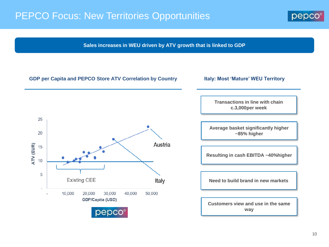# PEPCO Focus: New Territories Opportunities



**Sales increases in WEU driven by ATV growth that is linked to GDP**

#### **GDP per Capita and PEPCO Store ATV Correlation by Country**

**Italy: Most 'Mature' WEU Territory**



**Transactions in line with chain c.3,000per week**

**Average basket significantly higher ~85% higher**

**Resulting in cash EBITDA ~40%higher** 

**Need to build brand in new markets** 

**Customers view and use in the same way**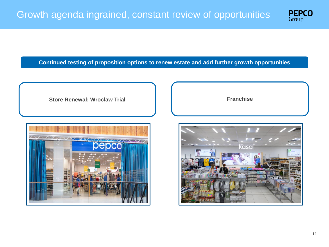

**Continued testing of proposition options to renew estate and add further growth opportunities**



**Franchise**

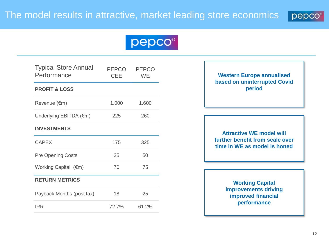

# pepco®

| <b>Typical Store Annual</b><br>Performance | PEPCO<br><b>CEE</b> | <b>PEPCO</b><br>WF |
|--------------------------------------------|---------------------|--------------------|
| <b>PROFIT &amp; LOSS</b>                   |                     |                    |
| Revenue (€m)                               | 1,000               | 1,600              |
| Underlying EBITDA (€m)                     | 225                 | 260                |
| <b>INVESTMENTS</b>                         |                     |                    |
| <b>CAPEX</b>                               | 175                 | 325                |
| <b>Pre Opening Costs</b>                   | 35                  | 50                 |
| Working Capital $(\epsilon m)$             | 70                  | 75                 |
| <b>RETURN METRICS</b>                      |                     |                    |
| Payback Months (post tax)                  | 18                  | 25                 |
| <b>IRR</b>                                 | 72.7%               | 61.2%              |

### **based on uninterrupted Covid Western Europe annualised period**

**Attractive WE model will further benefit from scale over time in WE as model is honed**

> **Working Capital improvements driving improved financial performance**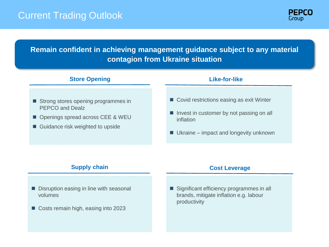### Current Trading Outlook



### **Remain confident in achieving management guidance subject to any material contagion from Ukraine situation**

### **Store Opening Like-for-like**

- Strong stores opening programmes in PEPCO and Dealz
- Openings spread across CEE & WEU
- Guidance risk weighted to upside

- Covid restrictions easing as exit Winter
- Invest in customer by not passing on all inflation
- $\blacksquare$  Ukraine impact and longevity unknown

### **Supply chain Cost Leverage Cost Leverage**

- Disruption easing in line with seasonal volumes
- Costs remain high, easing into 2023

■ Significant efficiency programmes in all brands, mitigate inflation e.g. labour productivity